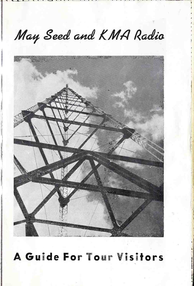## May Seed and KMA Radio



A Guide For Tour Visitors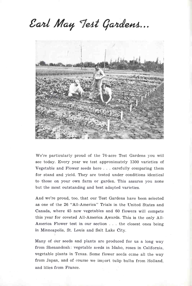## Earl May Test Gardens...



We're particularly proud of the 76 -acre Test Gardens you will see today. Every year we test approximately 1300 varieties of Vegetable and Flower seeds here ... carefully comparing them for stand and yield. They are tested under conditions identical to those on your own farm or garden. This assures you none but the most outstanding and best adapted varieties.

And we're proud, too, that our Test Gardens have been selected as one of the 26 "All -America" Trials in the United States and Canada, where 45 new vegetables and 60 flowers will compete this year for coveted All-America Awards. This is the only All-America Flower test in our section . . . the closest ones being in Minneapolis, St. Louis and Salt Lake City.

Many of our seeds and plants are produced for us a long way from Shenandoah: vegetable seeds in Idaho, roses in California, vegetable plants in Texas. Some flower seeds come all the way from Japan, and of course we import tulip bulbs from Holland, and lilies from France.